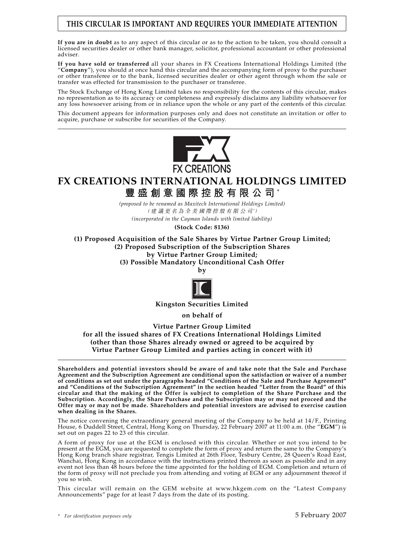# **THIS CIRCULAR IS IMPORTANT AND REQUIRES YOUR IMMEDIATE ATTENTION**

**If you are in doubt** as to any aspect of this circular or as to the action to be taken, you should consult a licensed securities dealer or other bank manager, solicitor, professional accountant or other professional adviser.

**If you have sold or transferred** all your shares in FX Creations International Holdings Limited (the "**Company**"), you should at once hand this circular and the accompanying form of proxy to the purchaser or other transferee or to the bank, licensed securities dealer or other agent through whom the sale or transfer was effected for transmission to the purchaser or transferee.

The Stock Exchange of Hong Kong Limited takes no responsibility for the contents of this circular, makes no representation as to its accuracy or completeness and expressly disclaims any liability whatsoever for any loss howsoever arising from or in reliance upon the whole or any part of the contents of this circular.

This document appears for information purposes only and does not constitute an invitation or offer to acquire, purchase or subscribe for securities of the Company.



**FX CREATIONS INTERNATIONAL HOLDINGS LIMITED**

**豐盛創意國際控股有限公司** \*

*(proposed to be renamed as Maxitech International Holdings Limited)* (建議更名為全美國際控股有限公司*\** ) *(incorporated in the Cayman Islands with limited liability)*

**(Stock Code: 8136)**

**(1) Proposed Acquisition of the Sale Shares by Virtue Partner Group Limited; (2) Proposed Subscription of the Subscription Shares by Virtue Partner Group Limited; (3) Possible Mandatory Unconditional Cash Offer**

**by**



**Kingston Securities Limited**

**on behalf of**

**Virtue Partner Group Limited for all the issued shares of FX Creations International Holdings Limited (other than those Shares already owned or agreed to be acquired by Virtue Partner Group Limited and parties acting in concert with it)**

**Shareholders and potential investors should be aware of and take note that the Sale and Purchase Agreement and the Subscription Agreement are conditional upon the satisfaction or waiver of a number of conditions as set out under the paragraphs headed "Conditions of the Sale and Purchase Agreement" and "Conditions of the Subscription Agreement" in the section headed "Letter from the Board" of this circular and that the making of the Offer is subject to completion of the Share Purchase and the Subscription. Accordingly, the Share Purchase and the Subscription may or may not proceed and the Offer may or may not be made. Shareholders and potential investors are advised to exercise caution when dealing in the Shares.**

The notice convening the extraordinary general meeting of the Company to be held at 14/F., Printing House, 6 Duddell Street, Central, Hong Kong on Thursday, 22 February 2007 at 11:00 a.m. (the "**EGM**") is set out on pages 22 to 23 of this circular.

A form of proxy for use at the EGM is enclosed with this circular. Whether or not you intend to be present at the EGM, you are requested to complete the form of proxy and return the same to the Company's Hong Kong branch share registrar, Tengis Limited at 26th Floor, Tesbury Centre, 28 Queen's Road East, Wanchai, Hong Kong in accordance with the instructions printed thereon as soon as possible and in any event not less than 48 hours before the time appointed for the holding of EGM. Completion and return of the form of proxy will not preclude you from attending and voting at EGM or any adjournment thereof if you so wish.

This circular will remain on the GEM website at www.hkgem.com on the "Latest Company Announcements" page for at least 7 days from the date of its posting.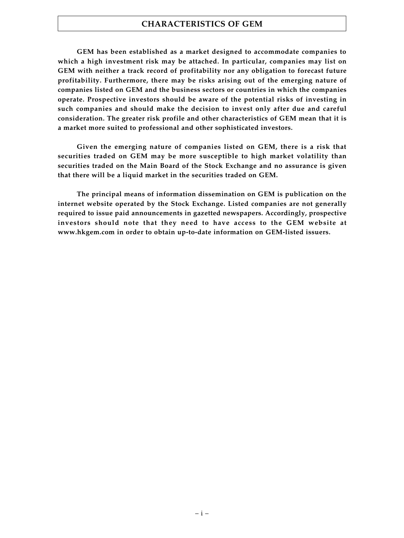# **CHARACTERISTICS OF GEM**

**GEM has been established as a market designed to accommodate companies to which a high investment risk may be attached. In particular, companies may list on GEM with neither a track record of profitability nor any obligation to forecast future profitability. Furthermore, there may be risks arising out of the emerging nature of companies listed on GEM and the business sectors or countries in which the companies operate. Prospective investors should be aware of the potential risks of investing in such companies and should make the decision to invest only after due and careful consideration. The greater risk profile and other characteristics of GEM mean that it is a market more suited to professional and other sophisticated investors.**

**Given the emerging nature of companies listed on GEM, there is a risk that securities traded on GEM may be more susceptible to high market volatility than securities traded on the Main Board of the Stock Exchange and no assurance is given that there will be a liquid market in the securities traded on GEM.**

**The principal means of information dissemination on GEM is publication on the internet website operated by the Stock Exchange. Listed companies are not generally required to issue paid announcements in gazetted newspapers. Accordingly, prospective investors should note that they need to have access to the GEM website at www.hkgem.com in order to obtain up-to-date information on GEM-listed issuers.**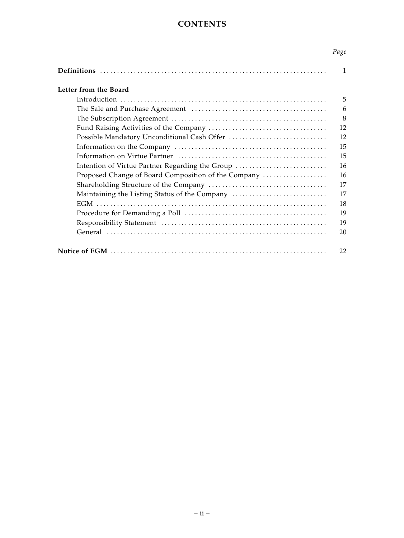# **CONTENTS**

# *Page*

| Letter from the Board                               |
|-----------------------------------------------------|
|                                                     |
|                                                     |
|                                                     |
|                                                     |
|                                                     |
|                                                     |
|                                                     |
| Intention of Virtue Partner Regarding the Group     |
| Proposed Change of Board Composition of the Company |
|                                                     |
| Maintaining the Listing Status of the Company       |
|                                                     |
|                                                     |
|                                                     |
|                                                     |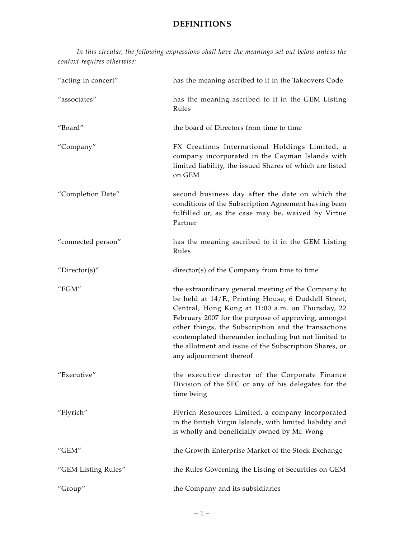*In this circular, the following expressions shall have the meanings set out below unless the context requires otherwise:*

| "acting in concert" | has the meaning ascribed to it in the Takeovers Code                                                                                                                                                                                                                                                                                                                                                                      |
|---------------------|---------------------------------------------------------------------------------------------------------------------------------------------------------------------------------------------------------------------------------------------------------------------------------------------------------------------------------------------------------------------------------------------------------------------------|
| "associates"        | has the meaning ascribed to it in the GEM Listing<br>Rules                                                                                                                                                                                                                                                                                                                                                                |
| "Board"             | the board of Directors from time to time                                                                                                                                                                                                                                                                                                                                                                                  |
| "Company"           | FX Creations International Holdings Limited, a<br>company incorporated in the Cayman Islands with<br>limited liability, the issued Shares of which are listed<br>on GEM                                                                                                                                                                                                                                                   |
| "Completion Date"   | second business day after the date on which the<br>conditions of the Subscription Agreement having been<br>fulfilled or, as the case may be, waived by Virtue<br>Partner                                                                                                                                                                                                                                                  |
| "connected person"  | has the meaning ascribed to it in the GEM Listing<br>Rules                                                                                                                                                                                                                                                                                                                                                                |
| "Director(s)"       | director(s) of the Company from time to time                                                                                                                                                                                                                                                                                                                                                                              |
| "EGM"               | the extraordinary general meeting of the Company to<br>be held at 14/F., Printing House, 6 Duddell Street,<br>Central, Hong Kong at 11:00 a.m. on Thursday, 22<br>February 2007 for the purpose of approving, amongst<br>other things, the Subscription and the transactions<br>contemplated thereunder including but not limited to<br>the allotment and issue of the Subscription Shares, or<br>any adjournment thereof |
| "Executive"         | the executive director of the Corporate Finance<br>Division of the SFC or any of his delegates for the<br>time being                                                                                                                                                                                                                                                                                                      |
| "Flyrich"           | Flyrich Resources Limited, a company incorporated<br>in the British Virgin Islands, with limited liability and<br>is wholly and beneficially owned by Mr. Wong                                                                                                                                                                                                                                                            |
| " $GEM"$            | the Growth Enterprise Market of the Stock Exchange                                                                                                                                                                                                                                                                                                                                                                        |
| "GEM Listing Rules" | the Rules Governing the Listing of Securities on GEM                                                                                                                                                                                                                                                                                                                                                                      |
| "Group"             | the Company and its subsidiaries                                                                                                                                                                                                                                                                                                                                                                                          |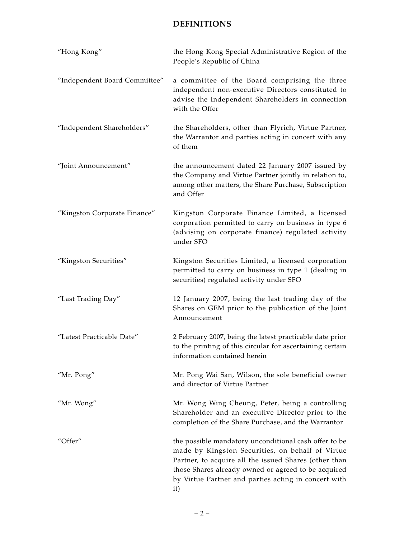| "Hong Kong"                   | the Hong Kong Special Administrative Region of the<br>People's Republic of China                                                                                                                                                                                                         |
|-------------------------------|------------------------------------------------------------------------------------------------------------------------------------------------------------------------------------------------------------------------------------------------------------------------------------------|
| "Independent Board Committee" | a committee of the Board comprising the three<br>independent non-executive Directors constituted to<br>advise the Independent Shareholders in connection<br>with the Offer                                                                                                               |
| "Independent Shareholders"    | the Shareholders, other than Flyrich, Virtue Partner,<br>the Warrantor and parties acting in concert with any<br>of them                                                                                                                                                                 |
| "Joint Announcement"          | the announcement dated 22 January 2007 issued by<br>the Company and Virtue Partner jointly in relation to,<br>among other matters, the Share Purchase, Subscription<br>and Offer                                                                                                         |
| "Kingston Corporate Finance"  | Kingston Corporate Finance Limited, a licensed<br>corporation permitted to carry on business in type 6<br>(advising on corporate finance) regulated activity<br>under SFO                                                                                                                |
| "Kingston Securities"         | Kingston Securities Limited, a licensed corporation<br>permitted to carry on business in type 1 (dealing in<br>securities) regulated activity under SFO                                                                                                                                  |
| "Last Trading Day"            | 12 January 2007, being the last trading day of the<br>Shares on GEM prior to the publication of the Joint<br>Announcement                                                                                                                                                                |
| "Latest Practicable Date"     | 2 February 2007, being the latest practicable date prior<br>to the printing of this circular for ascertaining certain<br>information contained herein                                                                                                                                    |
| "Mr. Pong"                    | Mr. Pong Wai San, Wilson, the sole beneficial owner<br>and director of Virtue Partner                                                                                                                                                                                                    |
| "Mr. Wong"                    | Mr. Wong Wing Cheung, Peter, being a controlling<br>Shareholder and an executive Director prior to the<br>completion of the Share Purchase, and the Warrantor                                                                                                                            |
| "Offer"                       | the possible mandatory unconditional cash offer to be<br>made by Kingston Securities, on behalf of Virtue<br>Partner, to acquire all the issued Shares (other than<br>those Shares already owned or agreed to be acquired<br>by Virtue Partner and parties acting in concert with<br>it) |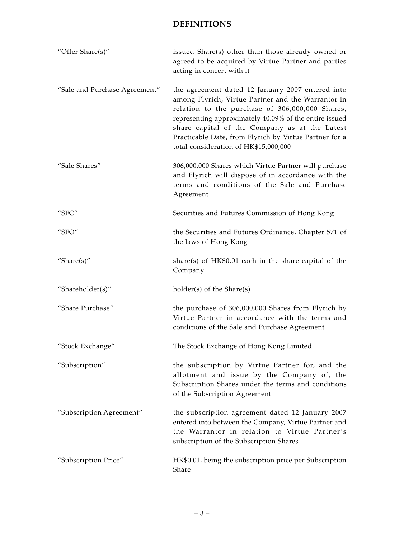| "Offer Share(s)"              | issued Share(s) other than those already owned or<br>agreed to be acquired by Virtue Partner and parties<br>acting in concert with it                                                                                                                                                                                                                                   |
|-------------------------------|-------------------------------------------------------------------------------------------------------------------------------------------------------------------------------------------------------------------------------------------------------------------------------------------------------------------------------------------------------------------------|
| "Sale and Purchase Agreement" | the agreement dated 12 January 2007 entered into<br>among Flyrich, Virtue Partner and the Warrantor in<br>relation to the purchase of 306,000,000 Shares,<br>representing approximately 40.09% of the entire issued<br>share capital of the Company as at the Latest<br>Practicable Date, from Flyrich by Virtue Partner for a<br>total consideration of HK\$15,000,000 |
| "Sale Shares"                 | 306,000,000 Shares which Virtue Partner will purchase<br>and Flyrich will dispose of in accordance with the<br>terms and conditions of the Sale and Purchase<br>Agreement                                                                                                                                                                                               |
| "SFC"                         | Securities and Futures Commission of Hong Kong                                                                                                                                                                                                                                                                                                                          |
| "SFO"                         | the Securities and Futures Ordinance, Chapter 571 of<br>the laws of Hong Kong                                                                                                                                                                                                                                                                                           |
| "Share $(s)$ "                | share(s) of $HK$0.01$ each in the share capital of the<br>Company                                                                                                                                                                                                                                                                                                       |
| "Shareholder(s)"              | holder(s) of the Share(s)                                                                                                                                                                                                                                                                                                                                               |
| "Share Purchase"              | the purchase of 306,000,000 Shares from Flyrich by<br>Virtue Partner in accordance with the terms and<br>conditions of the Sale and Purchase Agreement                                                                                                                                                                                                                  |
| "Stock Exchange"              | The Stock Exchange of Hong Kong Limited                                                                                                                                                                                                                                                                                                                                 |
| "Subscription"                | the subscription by Virtue Partner for, and the<br>allotment and issue by the Company of, the<br>Subscription Shares under the terms and conditions<br>of the Subscription Agreement                                                                                                                                                                                    |
| "Subscription Agreement"      | the subscription agreement dated 12 January 2007<br>entered into between the Company, Virtue Partner and<br>the Warrantor in relation to Virtue Partner's<br>subscription of the Subscription Shares                                                                                                                                                                    |
| "Subscription Price"          | HK\$0.01, being the subscription price per Subscription<br>Share                                                                                                                                                                                                                                                                                                        |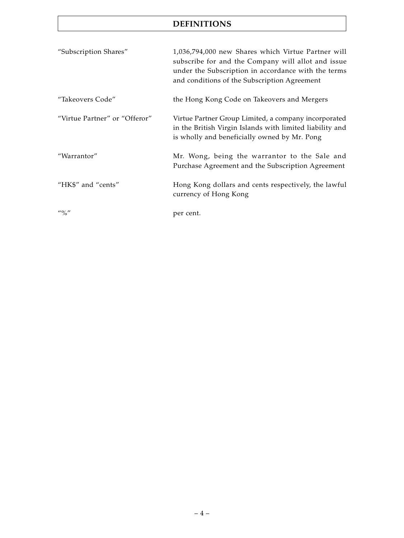| "Subscription Shares"                 | 1,036,794,000 new Shares which Virtue Partner will<br>subscribe for and the Company will allot and issue<br>under the Subscription in accordance with the terms<br>and conditions of the Subscription Agreement |
|---------------------------------------|-----------------------------------------------------------------------------------------------------------------------------------------------------------------------------------------------------------------|
| "Takeovers Code"                      | the Hong Kong Code on Takeovers and Mergers                                                                                                                                                                     |
| "Virtue Partner" or "Offeror"         | Virtue Partner Group Limited, a company incorporated<br>in the British Virgin Islands with limited liability and<br>is wholly and beneficially owned by Mr. Pong                                                |
| "Warrantor"                           | Mr. Wong, being the warrantor to the Sale and<br>Purchase Agreement and the Subscription Agreement                                                                                                              |
| "HK\$" and "cents"                    | Hong Kong dollars and cents respectively, the lawful<br>currency of Hong Kong                                                                                                                                   |
| $^{\prime\prime}$ % $^{\prime\prime}$ | per cent.                                                                                                                                                                                                       |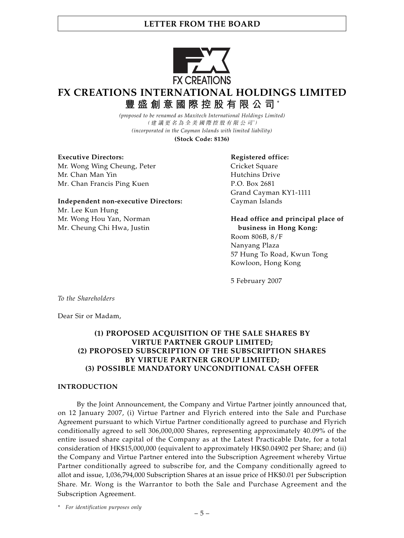

# **FX CREATIONS INTERNATIONAL HOLDINGS LIMITED**

**豐盛創意國際控股有限公司** \*

*(proposed to be renamed as Maxitech International Holdings Limited)* (建議更名為全美國際控股有限公司*\** ) *(incorporated in the Cayman Islands with limited liability)*

**(Stock Code: 8136)**

**Executive Directors:** Registered office: Mr. Wong Wing Cheung, Peter Cricket Square Mr. Chan Man Yin Hutchins Drive Mr. Chan Francis Ping Kuen P.O. Box 2681

# **Independent non-executive Directors:** Cayman Islands

Mr. Lee Kun Hung Mr. Cheung Chi Hwa, Justin **business in Hong Kong:**

Grand Cayman KY1-1111

Mr. Wong Hou Yan, Norman **Head office and principal place of** 

Room 806B, 8/F Nanyang Plaza 57 Hung To Road, Kwun Tong Kowloon, Hong Kong

5 February 2007

*To the Shareholders*

Dear Sir or Madam,

#### **(1) PROPOSED ACQUISITION OF THE SALE SHARES BY VIRTUE PARTNER GROUP LIMITED; (2) PROPOSED SUBSCRIPTION OF THE SUBSCRIPTION SHARES BY VIRTUE PARTNER GROUP LIMITED; (3) POSSIBLE MANDATORY UNCONDITIONAL CASH OFFER**

#### **INTRODUCTION**

By the Joint Announcement, the Company and Virtue Partner jointly announced that, on 12 January 2007, (i) Virtue Partner and Flyrich entered into the Sale and Purchase Agreement pursuant to which Virtue Partner conditionally agreed to purchase and Flyrich conditionally agreed to sell 306,000,000 Shares, representing approximately 40.09% of the entire issued share capital of the Company as at the Latest Practicable Date, for a total consideration of HK\$15,000,000 (equivalent to approximately HK\$0.04902 per Share; and (ii) the Company and Virtue Partner entered into the Subscription Agreement whereby Virtue Partner conditionally agreed to subscribe for, and the Company conditionally agreed to allot and issue, 1,036,794,000 Subscription Shares at an issue price of HK\$0.01 per Subscription Share. Mr. Wong is the Warrantor to both the Sale and Purchase Agreement and the Subscription Agreement.

*\* For identification purposes only*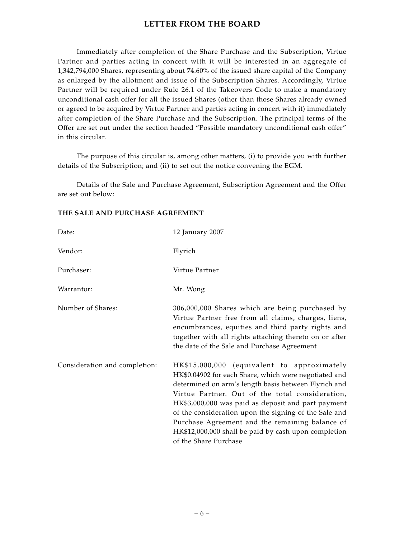Immediately after completion of the Share Purchase and the Subscription, Virtue Partner and parties acting in concert with it will be interested in an aggregate of 1,342,794,000 Shares, representing about 74.60% of the issued share capital of the Company as enlarged by the allotment and issue of the Subscription Shares. Accordingly, Virtue Partner will be required under Rule 26.1 of the Takeovers Code to make a mandatory unconditional cash offer for all the issued Shares (other than those Shares already owned or agreed to be acquired by Virtue Partner and parties acting in concert with it) immediately after completion of the Share Purchase and the Subscription. The principal terms of the Offer are set out under the section headed "Possible mandatory unconditional cash offer" in this circular.

The purpose of this circular is, among other matters, (i) to provide you with further details of the Subscription; and (ii) to set out the notice convening the EGM.

Details of the Sale and Purchase Agreement, Subscription Agreement and the Offer are set out below:

#### **THE SALE AND PURCHASE AGREEMENT**

| Date:                         | 12 January 2007                                                                                                                                                                                                                                                                                                                                                                                                                                                    |
|-------------------------------|--------------------------------------------------------------------------------------------------------------------------------------------------------------------------------------------------------------------------------------------------------------------------------------------------------------------------------------------------------------------------------------------------------------------------------------------------------------------|
| Vendor:                       | Flyrich                                                                                                                                                                                                                                                                                                                                                                                                                                                            |
| Purchaser:                    | Virtue Partner                                                                                                                                                                                                                                                                                                                                                                                                                                                     |
| Warrantor:                    | Mr. Wong                                                                                                                                                                                                                                                                                                                                                                                                                                                           |
| Number of Shares:             | 306,000,000 Shares which are being purchased by<br>Virtue Partner free from all claims, charges, liens,<br>encumbrances, equities and third party rights and<br>together with all rights attaching thereto on or after<br>the date of the Sale and Purchase Agreement                                                                                                                                                                                              |
| Consideration and completion: | HK\$15,000,000 (equivalent to approximately<br>HK\$0.04902 for each Share, which were negotiated and<br>determined on arm's length basis between Flyrich and<br>Virtue Partner. Out of the total consideration,<br>HK\$3,000,000 was paid as deposit and part payment<br>of the consideration upon the signing of the Sale and<br>Purchase Agreement and the remaining balance of<br>HK\$12,000,000 shall be paid by cash upon completion<br>of the Share Purchase |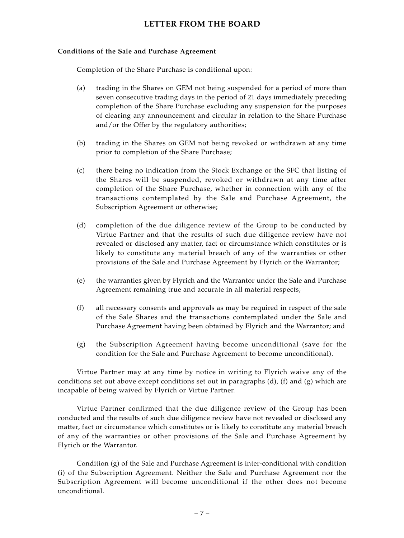#### **Conditions of the Sale and Purchase Agreement**

Completion of the Share Purchase is conditional upon:

- (a) trading in the Shares on GEM not being suspended for a period of more than seven consecutive trading days in the period of 21 days immediately preceding completion of the Share Purchase excluding any suspension for the purposes of clearing any announcement and circular in relation to the Share Purchase and/or the Offer by the regulatory authorities;
- (b) trading in the Shares on GEM not being revoked or withdrawn at any time prior to completion of the Share Purchase;
- (c) there being no indication from the Stock Exchange or the SFC that listing of the Shares will be suspended, revoked or withdrawn at any time after completion of the Share Purchase, whether in connection with any of the transactions contemplated by the Sale and Purchase Agreement, the Subscription Agreement or otherwise;
- (d) completion of the due diligence review of the Group to be conducted by Virtue Partner and that the results of such due diligence review have not revealed or disclosed any matter, fact or circumstance which constitutes or is likely to constitute any material breach of any of the warranties or other provisions of the Sale and Purchase Agreement by Flyrich or the Warrantor;
- (e) the warranties given by Flyrich and the Warrantor under the Sale and Purchase Agreement remaining true and accurate in all material respects;
- (f) all necessary consents and approvals as may be required in respect of the sale of the Sale Shares and the transactions contemplated under the Sale and Purchase Agreement having been obtained by Flyrich and the Warrantor; and
- (g) the Subscription Agreement having become unconditional (save for the condition for the Sale and Purchase Agreement to become unconditional).

Virtue Partner may at any time by notice in writing to Flyrich waive any of the conditions set out above except conditions set out in paragraphs  $(d)$ ,  $(f)$  and  $(g)$  which are incapable of being waived by Flyrich or Virtue Partner.

Virtue Partner confirmed that the due diligence review of the Group has been conducted and the results of such due diligence review have not revealed or disclosed any matter, fact or circumstance which constitutes or is likely to constitute any material breach of any of the warranties or other provisions of the Sale and Purchase Agreement by Flyrich or the Warrantor.

Condition  $(g)$  of the Sale and Purchase Agreement is inter-conditional with condition (i) of the Subscription Agreement. Neither the Sale and Purchase Agreement nor the Subscription Agreement will become unconditional if the other does not become unconditional.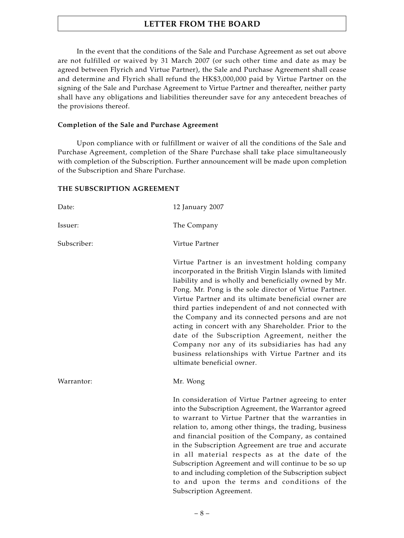In the event that the conditions of the Sale and Purchase Agreement as set out above are not fulfilled or waived by 31 March 2007 (or such other time and date as may be agreed between Flyrich and Virtue Partner), the Sale and Purchase Agreement shall cease and determine and Flyrich shall refund the HK\$3,000,000 paid by Virtue Partner on the signing of the Sale and Purchase Agreement to Virtue Partner and thereafter, neither party shall have any obligations and liabilities thereunder save for any antecedent breaches of the provisions thereof.

#### **Completion of the Sale and Purchase Agreement**

Upon compliance with or fulfillment or waiver of all the conditions of the Sale and Purchase Agreement, completion of the Share Purchase shall take place simultaneously with completion of the Subscription. Further announcement will be made upon completion of the Subscription and Share Purchase.

#### **THE SUBSCRIPTION AGREEMENT**

| Date:       | 12 January 2007                                                                                                                                                                                                                                                                                                                                                                                                                                                                                                                                                                                                                                     |
|-------------|-----------------------------------------------------------------------------------------------------------------------------------------------------------------------------------------------------------------------------------------------------------------------------------------------------------------------------------------------------------------------------------------------------------------------------------------------------------------------------------------------------------------------------------------------------------------------------------------------------------------------------------------------------|
| Issuer:     | The Company                                                                                                                                                                                                                                                                                                                                                                                                                                                                                                                                                                                                                                         |
| Subscriber: | Virtue Partner                                                                                                                                                                                                                                                                                                                                                                                                                                                                                                                                                                                                                                      |
|             | Virtue Partner is an investment holding company<br>incorporated in the British Virgin Islands with limited<br>liability and is wholly and beneficially owned by Mr.<br>Pong. Mr. Pong is the sole director of Virtue Partner.<br>Virtue Partner and its ultimate beneficial owner are<br>third parties independent of and not connected with<br>the Company and its connected persons and are not<br>acting in concert with any Shareholder. Prior to the<br>date of the Subscription Agreement, neither the<br>Company nor any of its subsidiaries has had any<br>business relationships with Virtue Partner and its<br>ultimate beneficial owner. |
| Warrantor:  | Mr. Wong                                                                                                                                                                                                                                                                                                                                                                                                                                                                                                                                                                                                                                            |
|             | In consideration of Virtue Partner agreeing to enter<br>into the Subscription Agreement, the Warrantor agreed<br>to warrant to Virtue Partner that the warranties in<br>relation to, among other things, the trading, business<br>and financial position of the Company, as contained<br>in the Subscription Agreement are true and accurate<br>in all material respects as at the date of the<br>Subscription Agreement and will continue to be so up<br>to and including completion of the Subscription subject<br>to and upon the terms and conditions of the<br>Subscription Agreement.                                                         |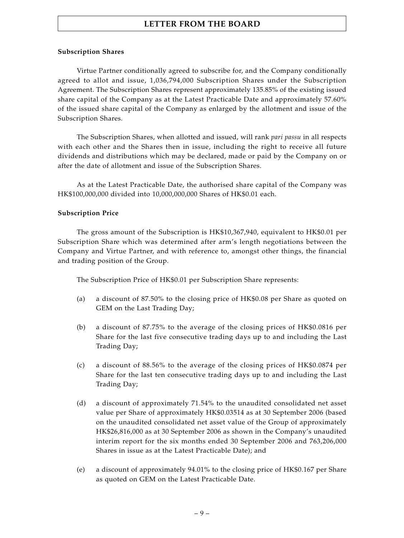#### **Subscription Shares**

Virtue Partner conditionally agreed to subscribe for, and the Company conditionally agreed to allot and issue, 1,036,794,000 Subscription Shares under the Subscription Agreement. The Subscription Shares represent approximately 135.85% of the existing issued share capital of the Company as at the Latest Practicable Date and approximately 57.60% of the issued share capital of the Company as enlarged by the allotment and issue of the Subscription Shares.

The Subscription Shares, when allotted and issued, will rank *pari passu* in all respects with each other and the Shares then in issue, including the right to receive all future dividends and distributions which may be declared, made or paid by the Company on or after the date of allotment and issue of the Subscription Shares.

As at the Latest Practicable Date, the authorised share capital of the Company was HK\$100,000,000 divided into 10,000,000,000 Shares of HK\$0.01 each.

#### **Subscription Price**

The gross amount of the Subscription is HK\$10,367,940, equivalent to HK\$0.01 per Subscription Share which was determined after arm's length negotiations between the Company and Virtue Partner, and with reference to, amongst other things, the financial and trading position of the Group.

The Subscription Price of HK\$0.01 per Subscription Share represents:

- (a) a discount of 87.50% to the closing price of HK\$0.08 per Share as quoted on GEM on the Last Trading Day;
- (b) a discount of 87.75% to the average of the closing prices of HK\$0.0816 per Share for the last five consecutive trading days up to and including the Last Trading Day;
- (c) a discount of 88.56% to the average of the closing prices of HK\$0.0874 per Share for the last ten consecutive trading days up to and including the Last Trading Day;
- (d) a discount of approximately 71.54% to the unaudited consolidated net asset value per Share of approximately HK\$0.03514 as at 30 September 2006 (based on the unaudited consolidated net asset value of the Group of approximately HK\$26,816,000 as at 30 September 2006 as shown in the Company's unaudited interim report for the six months ended 30 September 2006 and 763,206,000 Shares in issue as at the Latest Practicable Date); and
- (e) a discount of approximately 94.01% to the closing price of HK\$0.167 per Share as quoted on GEM on the Latest Practicable Date.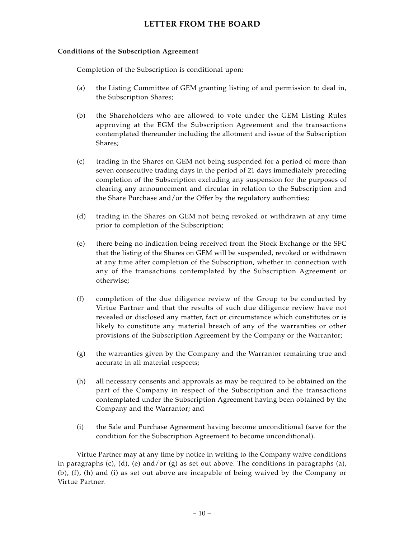#### **Conditions of the Subscription Agreement**

Completion of the Subscription is conditional upon:

- (a) the Listing Committee of GEM granting listing of and permission to deal in, the Subscription Shares;
- (b) the Shareholders who are allowed to vote under the GEM Listing Rules approving at the EGM the Subscription Agreement and the transactions contemplated thereunder including the allotment and issue of the Subscription Shares;
- (c) trading in the Shares on GEM not being suspended for a period of more than seven consecutive trading days in the period of 21 days immediately preceding completion of the Subscription excluding any suspension for the purposes of clearing any announcement and circular in relation to the Subscription and the Share Purchase and/or the Offer by the regulatory authorities;
- (d) trading in the Shares on GEM not being revoked or withdrawn at any time prior to completion of the Subscription;
- (e) there being no indication being received from the Stock Exchange or the SFC that the listing of the Shares on GEM will be suspended, revoked or withdrawn at any time after completion of the Subscription, whether in connection with any of the transactions contemplated by the Subscription Agreement or otherwise;
- (f) completion of the due diligence review of the Group to be conducted by Virtue Partner and that the results of such due diligence review have not revealed or disclosed any matter, fact or circumstance which constitutes or is likely to constitute any material breach of any of the warranties or other provisions of the Subscription Agreement by the Company or the Warrantor;
- (g) the warranties given by the Company and the Warrantor remaining true and accurate in all material respects;
- (h) all necessary consents and approvals as may be required to be obtained on the part of the Company in respect of the Subscription and the transactions contemplated under the Subscription Agreement having been obtained by the Company and the Warrantor; and
- (i) the Sale and Purchase Agreement having become unconditional (save for the condition for the Subscription Agreement to become unconditional).

Virtue Partner may at any time by notice in writing to the Company waive conditions in paragraphs (c), (d), (e) and/or (g) as set out above. The conditions in paragraphs (a), (b), (f), (h) and (i) as set out above are incapable of being waived by the Company or Virtue Partner.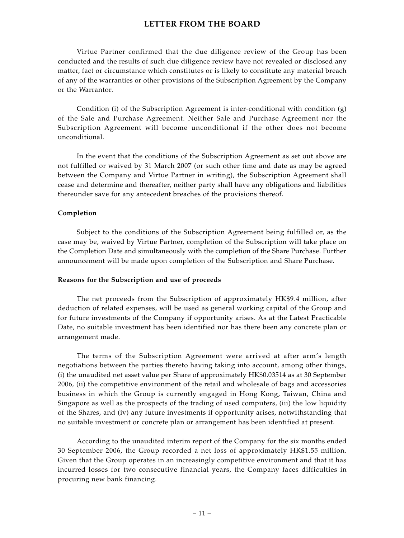Virtue Partner confirmed that the due diligence review of the Group has been conducted and the results of such due diligence review have not revealed or disclosed any matter, fact or circumstance which constitutes or is likely to constitute any material breach of any of the warranties or other provisions of the Subscription Agreement by the Company or the Warrantor.

Condition (i) of the Subscription Agreement is inter-conditional with condition  $(g)$ of the Sale and Purchase Agreement. Neither Sale and Purchase Agreement nor the Subscription Agreement will become unconditional if the other does not become unconditional.

In the event that the conditions of the Subscription Agreement as set out above are not fulfilled or waived by 31 March 2007 (or such other time and date as may be agreed between the Company and Virtue Partner in writing), the Subscription Agreement shall cease and determine and thereafter, neither party shall have any obligations and liabilities thereunder save for any antecedent breaches of the provisions thereof.

#### **Completion**

Subject to the conditions of the Subscription Agreement being fulfilled or, as the case may be, waived by Virtue Partner, completion of the Subscription will take place on the Completion Date and simultaneously with the completion of the Share Purchase. Further announcement will be made upon completion of the Subscription and Share Purchase.

#### **Reasons for the Subscription and use of proceeds**

The net proceeds from the Subscription of approximately HK\$9.4 million, after deduction of related expenses, will be used as general working capital of the Group and for future investments of the Company if opportunity arises. As at the Latest Practicable Date, no suitable investment has been identified nor has there been any concrete plan or arrangement made.

The terms of the Subscription Agreement were arrived at after arm's length negotiations between the parties thereto having taking into account, among other things, (i) the unaudited net asset value per Share of approximately HK\$0.03514 as at 30 September 2006, (ii) the competitive environment of the retail and wholesale of bags and accessories business in which the Group is currently engaged in Hong Kong, Taiwan, China and Singapore as well as the prospects of the trading of used computers, (iii) the low liquidity of the Shares, and (iv) any future investments if opportunity arises, notwithstanding that no suitable investment or concrete plan or arrangement has been identified at present.

According to the unaudited interim report of the Company for the six months ended 30 September 2006, the Group recorded a net loss of approximately HK\$1.55 million. Given that the Group operates in an increasingly competitive environment and that it has incurred losses for two consecutive financial years, the Company faces difficulties in procuring new bank financing.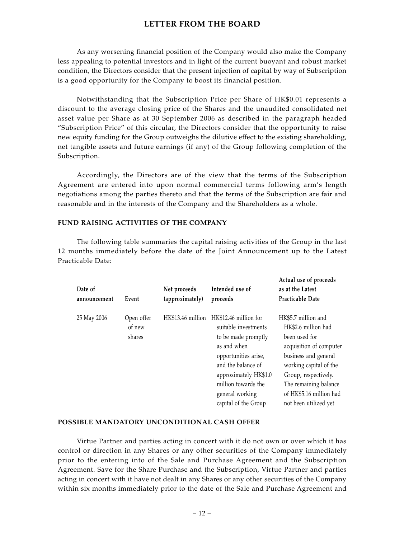As any worsening financial position of the Company would also make the Company less appealing to potential investors and in light of the current buoyant and robust market condition, the Directors consider that the present injection of capital by way of Subscription is a good opportunity for the Company to boost its financial position.

Notwithstanding that the Subscription Price per Share of HK\$0.01 represents a discount to the average closing price of the Shares and the unaudited consolidated net asset value per Share as at 30 September 2006 as described in the paragraph headed "Subscription Price" of this circular, the Directors consider that the opportunity to raise new equity funding for the Group outweighs the dilutive effect to the existing shareholding, net tangible assets and future earnings (if any) of the Group following completion of the Subscription.

Accordingly, the Directors are of the view that the terms of the Subscription Agreement are entered into upon normal commercial terms following arm's length negotiations among the parties thereto and that the terms of the Subscription are fair and reasonable and in the interests of the Company and the Shareholders as a whole.

#### **FUND RAISING ACTIVITIES OF THE COMPANY**

The following table summaries the capital raising activities of the Group in the last 12 months immediately before the date of the Joint Announcement up to the Latest Practicable Date:

| Date of<br>announcement | Event                          | Net proceeds<br>(approximately) | Intended use of<br>proceeds                                                                                                                                                                                                  | Actual use of proceeds<br>as at the Latest<br>Practicable Date                                                                                                                                                                                |
|-------------------------|--------------------------------|---------------------------------|------------------------------------------------------------------------------------------------------------------------------------------------------------------------------------------------------------------------------|-----------------------------------------------------------------------------------------------------------------------------------------------------------------------------------------------------------------------------------------------|
| 25 May 2006             | Open offer<br>of new<br>shares | HK\$13.46 million               | HK\$12.46 million for<br>suitable investments<br>to be made promptly<br>as and when<br>opportunities arise,<br>and the balance of<br>approximately HK\$1.0<br>million towards the<br>general working<br>capital of the Group | HK\$5.7 million and<br>HK\$2.6 million had<br>been used for<br>acquisition of computer<br>business and general<br>working capital of the<br>Group, respectively.<br>The remaining balance<br>of HK\$5.16 million had<br>not been utilized vet |

#### **POSSIBLE MANDATORY UNCONDITIONAL CASH OFFER**

Virtue Partner and parties acting in concert with it do not own or over which it has control or direction in any Shares or any other securities of the Company immediately prior to the entering into of the Sale and Purchase Agreement and the Subscription Agreement. Save for the Share Purchase and the Subscription, Virtue Partner and parties acting in concert with it have not dealt in any Shares or any other securities of the Company within six months immediately prior to the date of the Sale and Purchase Agreement and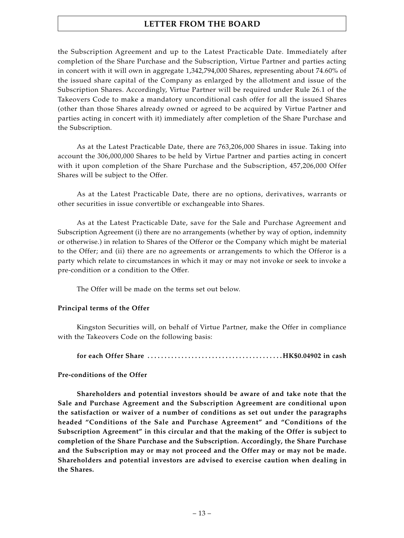the Subscription Agreement and up to the Latest Practicable Date. Immediately after completion of the Share Purchase and the Subscription, Virtue Partner and parties acting in concert with it will own in aggregate 1,342,794,000 Shares, representing about 74.60% of the issued share capital of the Company as enlarged by the allotment and issue of the Subscription Shares. Accordingly, Virtue Partner will be required under Rule 26.1 of the Takeovers Code to make a mandatory unconditional cash offer for all the issued Shares (other than those Shares already owned or agreed to be acquired by Virtue Partner and parties acting in concert with it) immediately after completion of the Share Purchase and the Subscription.

As at the Latest Practicable Date, there are 763,206,000 Shares in issue. Taking into account the 306,000,000 Shares to be held by Virtue Partner and parties acting in concert with it upon completion of the Share Purchase and the Subscription, 457,206,000 Offer Shares will be subject to the Offer.

As at the Latest Practicable Date, there are no options, derivatives, warrants or other securities in issue convertible or exchangeable into Shares.

As at the Latest Practicable Date, save for the Sale and Purchase Agreement and Subscription Agreement (i) there are no arrangements (whether by way of option, indemnity or otherwise.) in relation to Shares of the Offeror or the Company which might be material to the Offer; and (ii) there are no agreements or arrangements to which the Offeror is a party which relate to circumstances in which it may or may not invoke or seek to invoke a pre-condition or a condition to the Offer.

The Offer will be made on the terms set out below.

#### **Principal terms of the Offer**

Kingston Securities will, on behalf of Virtue Partner, make the Offer in compliance with the Takeovers Code on the following basis:

**for each Offer Share . . . . . . . . . . . . . . . . . . . . . . . . . . . . . . . . . . . . . . . . HK\$0.04902 in cash**

#### **Pre-conditions of the Offer**

**Shareholders and potential investors should be aware of and take note that the Sale and Purchase Agreement and the Subscription Agreement are conditional upon the satisfaction or waiver of a number of conditions as set out under the paragraphs headed "Conditions of the Sale and Purchase Agreement" and "Conditions of the Subscription Agreement" in this circular and that the making of the Offer is subject to completion of the Share Purchase and the Subscription. Accordingly, the Share Purchase and the Subscription may or may not proceed and the Offer may or may not be made. Shareholders and potential investors are advised to exercise caution when dealing in the Shares.**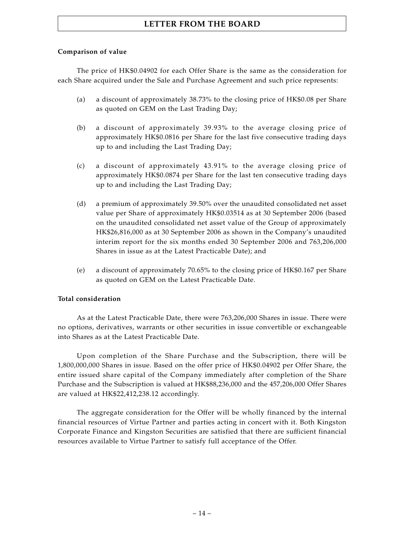#### **Comparison of value**

The price of HK\$0.04902 for each Offer Share is the same as the consideration for each Share acquired under the Sale and Purchase Agreement and such price represents:

- (a) a discount of approximately 38.73% to the closing price of HK\$0.08 per Share as quoted on GEM on the Last Trading Day;
- (b) a discount of approximately 39.93% to the average closing price of approximately HK\$0.0816 per Share for the last five consecutive trading days up to and including the Last Trading Day;
- (c) a discount of approximately 43.91% to the average closing price of approximately HK\$0.0874 per Share for the last ten consecutive trading days up to and including the Last Trading Day;
- (d) a premium of approximately 39.50% over the unaudited consolidated net asset value per Share of approximately HK\$0.03514 as at 30 September 2006 (based on the unaudited consolidated net asset value of the Group of approximately HK\$26,816,000 as at 30 September 2006 as shown in the Company's unaudited interim report for the six months ended 30 September 2006 and 763,206,000 Shares in issue as at the Latest Practicable Date); and
- (e) a discount of approximately 70.65% to the closing price of HK\$0.167 per Share as quoted on GEM on the Latest Practicable Date.

#### **Total consideration**

As at the Latest Practicable Date, there were 763,206,000 Shares in issue. There were no options, derivatives, warrants or other securities in issue convertible or exchangeable into Shares as at the Latest Practicable Date.

Upon completion of the Share Purchase and the Subscription, there will be 1,800,000,000 Shares in issue. Based on the offer price of HK\$0.04902 per Offer Share, the entire issued share capital of the Company immediately after completion of the Share Purchase and the Subscription is valued at HK\$88,236,000 and the 457,206,000 Offer Shares are valued at HK\$22,412,238.12 accordingly.

The aggregate consideration for the Offer will be wholly financed by the internal financial resources of Virtue Partner and parties acting in concert with it. Both Kingston Corporate Finance and Kingston Securities are satisfied that there are sufficient financial resources available to Virtue Partner to satisfy full acceptance of the Offer.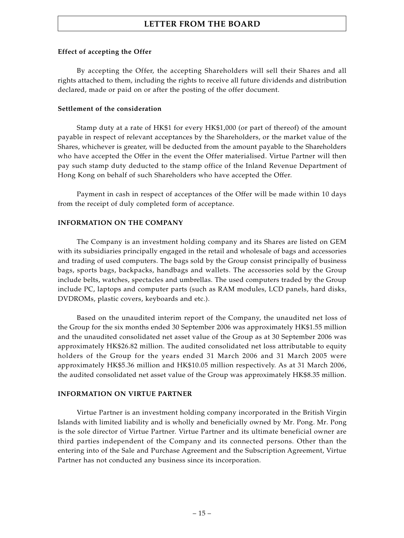#### **Effect of accepting the Offer**

By accepting the Offer, the accepting Shareholders will sell their Shares and all rights attached to them, including the rights to receive all future dividends and distribution declared, made or paid on or after the posting of the offer document.

#### **Settlement of the consideration**

Stamp duty at a rate of HK\$1 for every HK\$1,000 (or part of thereof) of the amount payable in respect of relevant acceptances by the Shareholders, or the market value of the Shares, whichever is greater, will be deducted from the amount payable to the Shareholders who have accepted the Offer in the event the Offer materialised. Virtue Partner will then pay such stamp duty deducted to the stamp office of the Inland Revenue Department of Hong Kong on behalf of such Shareholders who have accepted the Offer.

Payment in cash in respect of acceptances of the Offer will be made within 10 days from the receipt of duly completed form of acceptance.

#### **INFORMATION ON THE COMPANY**

The Company is an investment holding company and its Shares are listed on GEM with its subsidiaries principally engaged in the retail and wholesale of bags and accessories and trading of used computers. The bags sold by the Group consist principally of business bags, sports bags, backpacks, handbags and wallets. The accessories sold by the Group include belts, watches, spectacles and umbrellas. The used computers traded by the Group include PC, laptops and computer parts (such as RAM modules, LCD panels, hard disks, DVDROMs, plastic covers, keyboards and etc.).

Based on the unaudited interim report of the Company, the unaudited net loss of the Group for the six months ended 30 September 2006 was approximately HK\$1.55 million and the unaudited consolidated net asset value of the Group as at 30 September 2006 was approximately HK\$26.82 million. The audited consolidated net loss attributable to equity holders of the Group for the years ended 31 March 2006 and 31 March 2005 were approximately HK\$5.36 million and HK\$10.05 million respectively. As at 31 March 2006, the audited consolidated net asset value of the Group was approximately HK\$8.35 million.

#### **INFORMATION ON VIRTUE PARTNER**

Virtue Partner is an investment holding company incorporated in the British Virgin Islands with limited liability and is wholly and beneficially owned by Mr. Pong. Mr. Pong is the sole director of Virtue Partner. Virtue Partner and its ultimate beneficial owner are third parties independent of the Company and its connected persons. Other than the entering into of the Sale and Purchase Agreement and the Subscription Agreement, Virtue Partner has not conducted any business since its incorporation.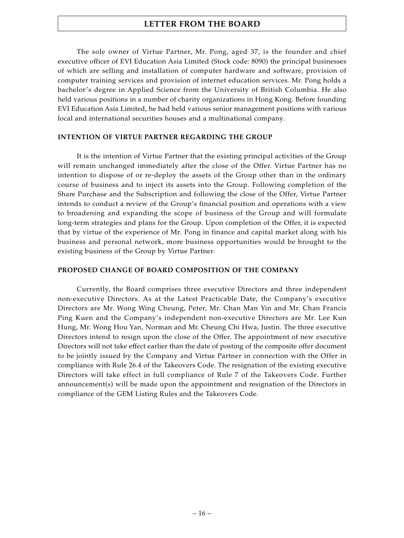The sole owner of Virtue Partner, Mr. Pong, aged 37, is the founder and chief executive officer of EVI Education Asia Limited (Stock code: 8090) the principal businesses of which are selling and installation of computer hardware and software, provision of computer training services and provision of internet education services. Mr. Pong holds a bachelor's degree in Applied Science from the University of British Columbia. He also held various positions in a number of charity organizations in Hong Kong. Before founding EVI Education Asia Limited, he had held various senior management positions with various local and international securities houses and a multinational company.

#### **INTENTION OF VIRTUE PARTNER REGARDING THE GROUP**

It is the intention of Virtue Partner that the existing principal activities of the Group will remain unchanged immediately after the close of the Offer. Virtue Partner has no intention to dispose of or re-deploy the assets of the Group other than in the ordinary course of business and to inject its assets into the Group. Following completion of the Share Purchase and the Subscription and following the close of the Offer, Virtue Partner intends to conduct a review of the Group's financial position and operations with a view to broadening and expanding the scope of business of the Group and will formulate long-term strategies and plans for the Group. Upon completion of the Offer, it is expected that by virtue of the experience of Mr. Pong in finance and capital market along with his business and personal network, more business opportunities would be brought to the existing business of the Group by Virtue Partner.

#### **PROPOSED CHANGE OF BOARD COMPOSITION OF THE COMPANY**

Currently, the Board comprises three executive Directors and three independent non-executive Directors. As at the Latest Practicable Date, the Company's executive Directors are Mr. Wong Wing Cheung, Peter, Mr. Chan Man Yin and Mr. Chan Francis Ping Kuen and the Company's independent non-executive Directors are Mr. Lee Kun Hung, Mr. Wong Hou Yan, Norman and Mr. Cheung Chi Hwa, Justin. The three executive Directors intend to resign upon the close of the Offer. The appointment of new executive Directors will not take effect earlier than the date of posting of the composite offer document to be jointly issued by the Company and Virtue Partner in connection with the Offer in compliance with Rule 26.4 of the Takeovers Code. The resignation of the existing executive Directors will take effect in full compliance of Rule 7 of the Takeovers Code. Further announcement(s) will be made upon the appointment and resignation of the Directors in compliance of the GEM Listing Rules and the Takeovers Code.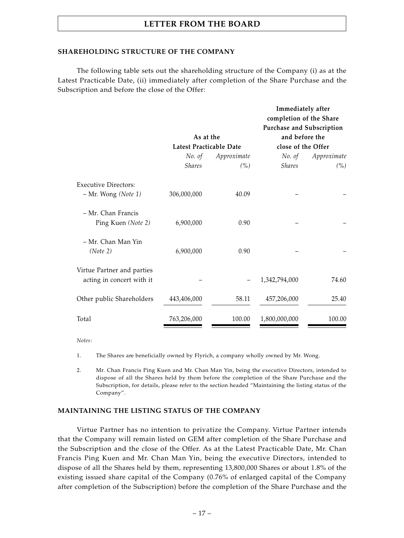#### **SHAREHOLDING STRUCTURE OF THE COMPANY**

The following table sets out the shareholding structure of the Company (i) as at the Latest Practicable Date, (ii) immediately after completion of the Share Purchase and the Subscription and before the close of the Offer:

|               |        | completion of the Share                |                                                |
|---------------|--------|----------------------------------------|------------------------------------------------|
| As at the     |        | and before the                         |                                                |
|               |        | close of the Offer                     |                                                |
| No. of        |        | No. of                                 | Approximate                                    |
| <b>Shares</b> | (%)    | <b>Shares</b>                          | (% )                                           |
|               |        |                                        |                                                |
| 306,000,000   | 40.09  |                                        |                                                |
|               |        |                                        |                                                |
| 6,900,000     | 0.90   |                                        |                                                |
|               |        |                                        |                                                |
| 6,900,000     | 0.90   |                                        |                                                |
|               |        |                                        |                                                |
|               |        | 1,342,794,000                          | 74.60                                          |
| 443,406,000   | 58.11  | 457,206,000                            | 25.40                                          |
| 763,206,000   | 100.00 | 1,800,000,000                          | 100.00                                         |
|               |        | Latest Practicable Date<br>Approximate | Immediately after<br>Purchase and Subscription |

*Notes*:

1. The Shares are beneficially owned by Flyrich, a company wholly owned by Mr. Wong.

2. Mr. Chan Francis Ping Kuen and Mr. Chan Man Yin, being the executive Directors, intended to dispose of all the Shares held by them before the completion of the Share Purchase and the Subscription, for details, please refer to the section headed "Maintaining the listing status of the Company".

#### **MAINTAINING THE LISTING STATUS OF THE COMPANY**

Virtue Partner has no intention to privatize the Company. Virtue Partner intends that the Company will remain listed on GEM after completion of the Share Purchase and the Subscription and the close of the Offer. As at the Latest Practicable Date, Mr. Chan Francis Ping Kuen and Mr. Chan Man Yin, being the executive Directors, intended to dispose of all the Shares held by them, representing 13,800,000 Shares or about 1.8% of the existing issued share capital of the Company (0.76% of enlarged capital of the Company after completion of the Subscription) before the completion of the Share Purchase and the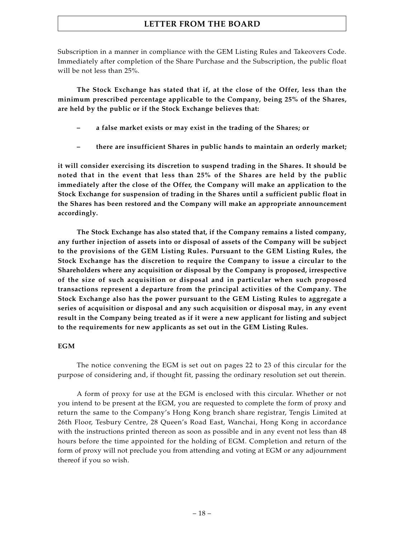Subscription in a manner in compliance with the GEM Listing Rules and Takeovers Code. Immediately after completion of the Share Purchase and the Subscription, the public float will be not less than 25%.

**The Stock Exchange has stated that if, at the close of the Offer, less than the minimum prescribed percentage applicable to the Company, being 25% of the Shares, are held by the public or if the Stock Exchange believes that:**

- **– a false market exists or may exist in the trading of the Shares; or**
- **– there are insufficient Shares in public hands to maintain an orderly market;**

**it will consider exercising its discretion to suspend trading in the Shares. It should be noted that in the event that less than 25% of the Shares are held by the public immediately after the close of the Offer, the Company will make an application to the Stock Exchange for suspension of trading in the Shares until a sufficient public float in the Shares has been restored and the Company will make an appropriate announcement accordingly.**

**The Stock Exchange has also stated that, if the Company remains a listed company, any further injection of assets into or disposal of assets of the Company will be subject to the provisions of the GEM Listing Rules. Pursuant to the GEM Listing Rules, the Stock Exchange has the discretion to require the Company to issue a circular to the Shareholders where any acquisition or disposal by the Company is proposed, irrespective of the size of such acquisition or disposal and in particular when such proposed transactions represent a departure from the principal activities of the Company. The Stock Exchange also has the power pursuant to the GEM Listing Rules to aggregate a series of acquisition or disposal and any such acquisition or disposal may, in any event result in the Company being treated as if it were a new applicant for listing and subject to the requirements for new applicants as set out in the GEM Listing Rules.**

#### **EGM**

The notice convening the EGM is set out on pages 22 to 23 of this circular for the purpose of considering and, if thought fit, passing the ordinary resolution set out therein.

A form of proxy for use at the EGM is enclosed with this circular. Whether or not you intend to be present at the EGM, you are requested to complete the form of proxy and return the same to the Company's Hong Kong branch share registrar, Tengis Limited at 26th Floor, Tesbury Centre, 28 Queen's Road East, Wanchai, Hong Kong in accordance with the instructions printed thereon as soon as possible and in any event not less than 48 hours before the time appointed for the holding of EGM. Completion and return of the form of proxy will not preclude you from attending and voting at EGM or any adjournment thereof if you so wish.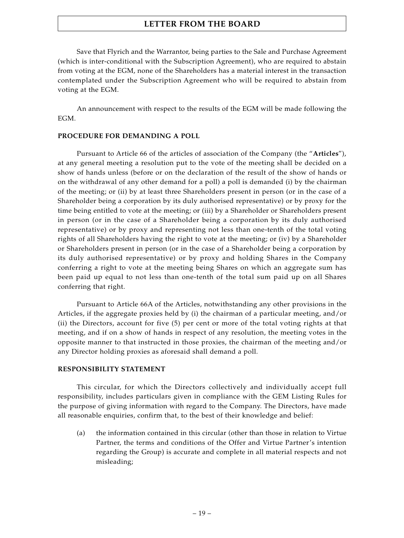Save that Flyrich and the Warrantor, being parties to the Sale and Purchase Agreement (which is inter-conditional with the Subscription Agreement), who are required to abstain from voting at the EGM, none of the Shareholders has a material interest in the transaction contemplated under the Subscription Agreement who will be required to abstain from voting at the EGM.

An announcement with respect to the results of the EGM will be made following the EGM.

#### **PROCEDURE FOR DEMANDING A POLL**

Pursuant to Article 66 of the articles of association of the Company (the "**Articles**"), at any general meeting a resolution put to the vote of the meeting shall be decided on a show of hands unless (before or on the declaration of the result of the show of hands or on the withdrawal of any other demand for a poll) a poll is demanded (i) by the chairman of the meeting; or (ii) by at least three Shareholders present in person (or in the case of a Shareholder being a corporation by its duly authorised representative) or by proxy for the time being entitled to vote at the meeting; or (iii) by a Shareholder or Shareholders present in person (or in the case of a Shareholder being a corporation by its duly authorised representative) or by proxy and representing not less than one-tenth of the total voting rights of all Shareholders having the right to vote at the meeting; or (iv) by a Shareholder or Shareholders present in person (or in the case of a Shareholder being a corporation by its duly authorised representative) or by proxy and holding Shares in the Company conferring a right to vote at the meeting being Shares on which an aggregate sum has been paid up equal to not less than one-tenth of the total sum paid up on all Shares conferring that right.

Pursuant to Article 66A of the Articles, notwithstanding any other provisions in the Articles, if the aggregate proxies held by (i) the chairman of a particular meeting, and/or (ii) the Directors, account for five (5) per cent or more of the total voting rights at that meeting, and if on a show of hands in respect of any resolution, the meeting votes in the opposite manner to that instructed in those proxies, the chairman of the meeting and/or any Director holding proxies as aforesaid shall demand a poll.

#### **RESPONSIBILITY STATEMENT**

This circular, for which the Directors collectively and individually accept full responsibility, includes particulars given in compliance with the GEM Listing Rules for the purpose of giving information with regard to the Company. The Directors, have made all reasonable enquiries, confirm that, to the best of their knowledge and belief:

(a) the information contained in this circular (other than those in relation to Virtue Partner, the terms and conditions of the Offer and Virtue Partner's intention regarding the Group) is accurate and complete in all material respects and not misleading;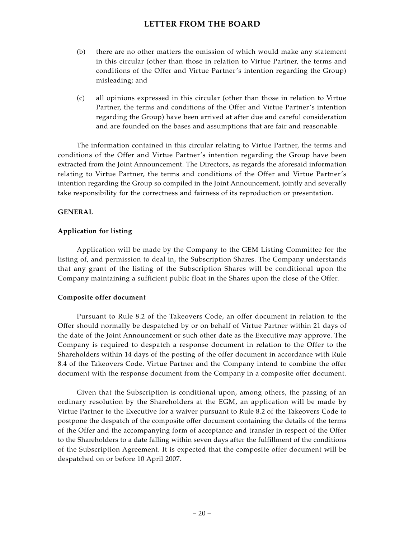- (b) there are no other matters the omission of which would make any statement in this circular (other than those in relation to Virtue Partner, the terms and conditions of the Offer and Virtue Partner's intention regarding the Group) misleading; and
- (c) all opinions expressed in this circular (other than those in relation to Virtue Partner, the terms and conditions of the Offer and Virtue Partner's intention regarding the Group) have been arrived at after due and careful consideration and are founded on the bases and assumptions that are fair and reasonable.

The information contained in this circular relating to Virtue Partner, the terms and conditions of the Offer and Virtue Partner's intention regarding the Group have been extracted from the Joint Announcement. The Directors, as regards the aforesaid information relating to Virtue Partner, the terms and conditions of the Offer and Virtue Partner's intention regarding the Group so compiled in the Joint Announcement, jointly and severally take responsibility for the correctness and fairness of its reproduction or presentation.

#### **GENERAL**

#### **Application for listing**

Application will be made by the Company to the GEM Listing Committee for the listing of, and permission to deal in, the Subscription Shares. The Company understands that any grant of the listing of the Subscription Shares will be conditional upon the Company maintaining a sufficient public float in the Shares upon the close of the Offer.

#### **Composite offer document**

Pursuant to Rule 8.2 of the Takeovers Code, an offer document in relation to the Offer should normally be despatched by or on behalf of Virtue Partner within 21 days of the date of the Joint Announcement or such other date as the Executive may approve. The Company is required to despatch a response document in relation to the Offer to the Shareholders within 14 days of the posting of the offer document in accordance with Rule 8.4 of the Takeovers Code. Virtue Partner and the Company intend to combine the offer document with the response document from the Company in a composite offer document.

Given that the Subscription is conditional upon, among others, the passing of an ordinary resolution by the Shareholders at the EGM, an application will be made by Virtue Partner to the Executive for a waiver pursuant to Rule 8.2 of the Takeovers Code to postpone the despatch of the composite offer document containing the details of the terms of the Offer and the accompanying form of acceptance and transfer in respect of the Offer to the Shareholders to a date falling within seven days after the fulfillment of the conditions of the Subscription Agreement. It is expected that the composite offer document will be despatched on or before 10 April 2007.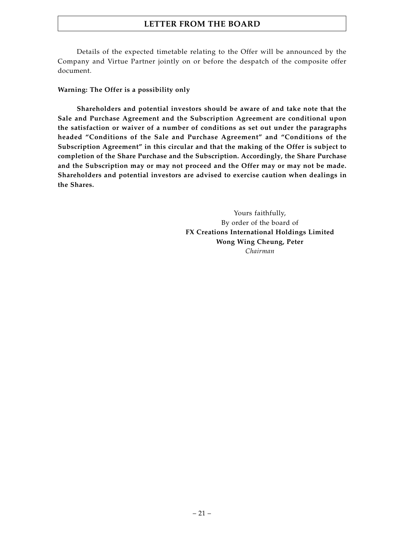Details of the expected timetable relating to the Offer will be announced by the Company and Virtue Partner jointly on or before the despatch of the composite offer document.

#### **Warning: The Offer is a possibility only**

**Shareholders and potential investors should be aware of and take note that the Sale and Purchase Agreement and the Subscription Agreement are conditional upon the satisfaction or waiver of a number of conditions as set out under the paragraphs headed "Conditions of the Sale and Purchase Agreement" and "Conditions of the Subscription Agreement" in this circular and that the making of the Offer is subject to completion of the Share Purchase and the Subscription. Accordingly, the Share Purchase and the Subscription may or may not proceed and the Offer may or may not be made. Shareholders and potential investors are advised to exercise caution when dealings in the Shares.**

> Yours faithfully, By order of the board of **FX Creations International Holdings Limited Wong Wing Cheung, Peter** *Chairman*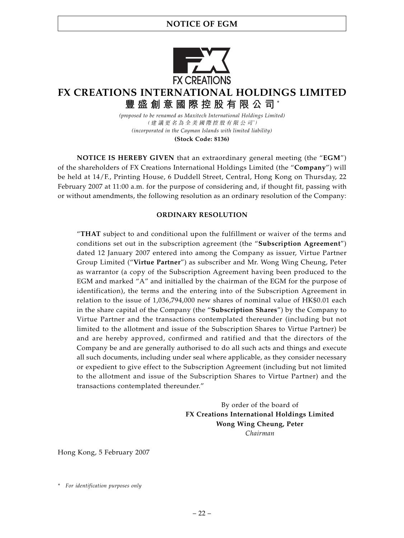# **NOTICE OF EGM**



# **FX CREATIONS INTERNATIONAL HOLDINGS LIMITED 豐盛創意國際控股有限公司** \*

*(proposed to be renamed as Maxitech International Holdings Limited)* (建議更名為全美國際控股有限公司*\** ) *(incorporated in the Cayman Islands with limited liability)*

**(Stock Code: 8136)**

**NOTICE IS HEREBY GIVEN** that an extraordinary general meeting (the "**EGM**") of the shareholders of FX Creations International Holdings Limited (the "**Company**") will be held at 14/F., Printing House, 6 Duddell Street, Central, Hong Kong on Thursday, 22 February 2007 at 11:00 a.m. for the purpose of considering and, if thought fit, passing with or without amendments, the following resolution as an ordinary resolution of the Company:

#### **ORDINARY RESOLUTION**

"**THAT** subject to and conditional upon the fulfillment or waiver of the terms and conditions set out in the subscription agreement (the "**Subscription Agreement**") dated 12 January 2007 entered into among the Company as issuer, Virtue Partner Group Limited ("**Virtue Partner**") as subscriber and Mr. Wong Wing Cheung, Peter as warrantor (a copy of the Subscription Agreement having been produced to the EGM and marked "A" and initialled by the chairman of the EGM for the purpose of identification), the terms and the entering into of the Subscription Agreement in relation to the issue of 1,036,794,000 new shares of nominal value of HK\$0.01 each in the share capital of the Company (the "**Subscription Shares**") by the Company to Virtue Partner and the transactions contemplated thereunder (including but not limited to the allotment and issue of the Subscription Shares to Virtue Partner) be and are hereby approved, confirmed and ratified and that the directors of the Company be and are generally authorised to do all such acts and things and execute all such documents, including under seal where applicable, as they consider necessary or expedient to give effect to the Subscription Agreement (including but not limited to the allotment and issue of the Subscription Shares to Virtue Partner) and the transactions contemplated thereunder."

> By order of the board of **FX Creations International Holdings Limited Wong Wing Cheung, Peter** *Chairman*

Hong Kong, 5 February 2007

*<sup>\*</sup> For identification purposes only*